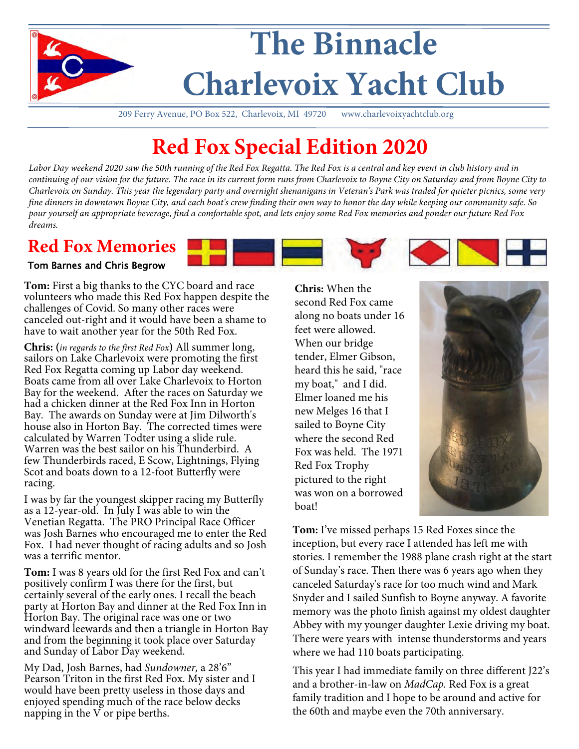

209 Ferry Avenue, PO Box 522, Charlevoix, MI 49720 www.charlevoixyachtclub.org

# **Red Fox Special Edition 2020**

Labor Day weekend 2020 saw the 50th running of the Red Fox Regatta. The Red Fox is a central and key event in club history and in *continuing of our vision for the future. The race in its current form runs from Charlevoix to Boyne City on Saturday and from Boyne City to Charlevoix on Sunday. This year the legendary party and overnight shenanigans in Veteran's Park was traded for quieter picnics, some very fine dinners in downtown Boyne City, and each boat's crew finding their own way to honor the day while keeping our community safe. So pour yourself an appropriate beverage, find a comfortable spot, and lets enjoy some Red Fox memories and ponder our future Red Fox dreams.*

#### **Red Fox Memories**

#### Tom Barnes and Chris Begrow

**Tom:** First a big thanks to the CYC board and race volunteers who made this Red Fox happen despite the challenges of Covid. So many other races were canceled out-right and it would have been a shame to have to wait another year for the 50th Red Fox.

**Chris: (***in regards to the first Red Fox***)** All summer long, sailors on Lake Charlevoix were promoting the first Red Fox Regatta coming up Labor day weekend. Boats came from all over Lake Charlevoix to Horton Bay for the weekend. After the races on Saturday we had a chicken dinner at the Red Fox Inn in Horton Bay. The awards on Sunday were at Jim Dilworth's house also in Horton Bay. The corrected times were calculated by Warren Todter using a slide rule. Warren was the best sailor on his Thunderbird. A few Thunderbirds raced, E Scow, Lightnings, Flying Scot and boats down to a 12-foot Butterfly were racing.

I was by far the youngest skipper racing my Butterfly as a 12-year-old. In July I was able to win the Venetian Regatta. The PRO Principal Race Officer was Josh Barnes who encouraged me to enter the Red Fox. I had never thought of racing adults and so Josh was a terrific mentor.

**Tom:** I was 8 years old for the first Red Fox and can't positively confirm I was there for the first, but certainly several of the early ones. I recall the beach party at Horton Bay and dinner at the Red Fox Inn in Horton Bay. The original race was one or two windward leewards and then a triangle in Horton Bay and from the beginning it took place over Saturday and Sunday of Labor Day weekend.

My Dad, Josh Barnes, had *Sundowner,* a 28'6" Pearson Triton in the first Red Fox. My sister and I would have been pretty useless in those days and enjoyed spending much of the race below decks napping in the  $\check{V}$  or pipe berths.

**Chris:** When the second Red Fox came along no boats under 16 feet were allowed. When our bridge tender, Elmer Gibson, heard this he said, "race my boat," and I did. Elmer loaned me his new Melges 16 that I sailed to Boyne City where the second Red Fox was held. The 1971 Red Fox Trophy pictured to the right was won on a borrowed boat!



**Tom:** I've missed perhaps 15 Red Foxes since the inception, but every race I attended has left me with stories. I remember the 1988 plane crash right at the start of Sunday's race. Then there was 6 years ago when they canceled Saturday's race for too much wind and Mark Snyder and I sailed Sunfish to Boyne anyway. A favorite memory was the photo finish against my oldest daughter Abbey with my younger daughter Lexie driving my boat. There were years with intense thunderstorms and years where we had 110 boats participating.

This year I had immediate family on three different J22's and a brother-in-law on *MadCap.* Red Fox is a great family tradition and I hope to be around and active for the 60th and maybe even the 70th anniversary.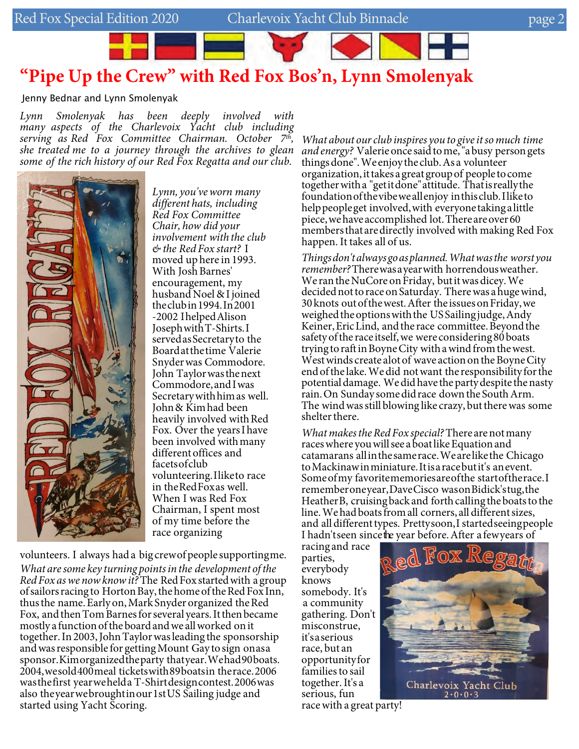# **"Pipe Up the Crew" with Red Fox Bos'n, Lynn Smolenyak**

Jenny Bednar and Lynn Smolenyak

*Lynn Smolenyak has been deeply involved with many aspects of the Charlevoix Yacht club including serving as Red Fox Committee Chairman. October 7 th , she treated me to a journey through the archives to glean some of the rich history of our Red Fox Regatta and our club.* 



*Lynn, you'veworn many different hats, including Red Fox Committee Chair, how did your involvement with the club & the Red Fox start?* I moved up here in 1993. With Josh Barnes' encouragement, my husband Noel & I joined theclubin1994. In2001 -2002 I helpedAlison JosephwithT-Shirts.I servedas Secretary to the Boardat thetime Valerie Snyderwas Commodore. John Taylorwasthenext Commodore,andI was Secretary with himas well. John& Kimhad been heavily involved with Red Fox. Over the yearsI have been involved withmany differentoffices and facetsofclub volunteering.I liketo race in theRedFoxas well. When I was Red Fox Chairman, I spent most of my time before the race organizing

volunteers. I always had a big crew of people supporting me. *What are some key turning pointsin the development ofthe Red Fox as we now know it?* The Red Fox started with a group of sailors racing to Horton Bay, the home of the Red Fox Inn, thusthe name.Early on, Mark Snyder organized theRed Fox, and then Tom Barnes for several years. It then became mostly a function of the board and we all worked on it together. In 2003, JohnTaylorwas leading the sponsorship and was responsible for getting Mount Gay to sign onas a sponsor.Kimorganizedtheparty thatyear. Wehad90 boats. 2004, wesold 400 meal ticketswith89 boatsin therace. 2006 was thefirst yearwehelda T-Shirt designcontest.2006 was also theyearwebroughtinour1st US Sailing judge and started using Yacht Scoring.

*What about ourclub inspires you to give itsomuch time and energy?* Valerie once said to me, "a busy person gets thingsdone".We enjoythe club.As a volunteer organization, ittakes a great groupof people to come togetherwitha "getitdone"attitude. Thatisreallythe foundationofthevibeweallenjoy inthisclub.I liketo helppeopleget involved,with everyone takinga little piece,wehaveaccomplished lot.There areover60 members that are directly involved with making Red Fox happen. It takes all of us.

*Thingsdon'talwaysgoasplanned.Whatwasthe worstyou remember?*There wasa yearwith horrendousweather. We ran the NuCore on Friday, but it was dicey. We decided not to race on Saturday. There was a huge wind, 30 knots outofthewest.After the issuesonFriday,we weighed the options with the US Sailing judge, Andy Keiner, Eric Lind, and the race committee. Beyond the safety of the race itself, we were considering 80 boats trying to raft in Boyne City with a wind from the west. West winds create alot of wave action on the Boyne City endofthe lake.Wedid notwant the responsibility forthe potential damage. We did have the party despite the nasty rain. On Sunday some did race down the South Arm. The wind was still blowing like crazy, but there was some shelter there.

*What makes the Red Fox special? There are not many* races where you will see a boat like Equation and catamarans allinthesamerace. We are likethe Chicago toMackinawinminiature.Itisa race butit's an event. Some of my favoritememories are of the start of the race. I rememberoneyear, Dave Cisco was on Bidick'stug, the Heather B, cruising back and forth calling the boats to the line. We had boats from all corners, all different sizes, and all different types. Prettysoon, I started seeingpeople I hadn'tseen sincethe year before. After a fewyears of

racing and race parties, everybody knows somebody. It's a community gathering. Don't misconstrue, it'sa serious race, but an opportunityfor families to sail together.It's a serious, fun



race with a great party!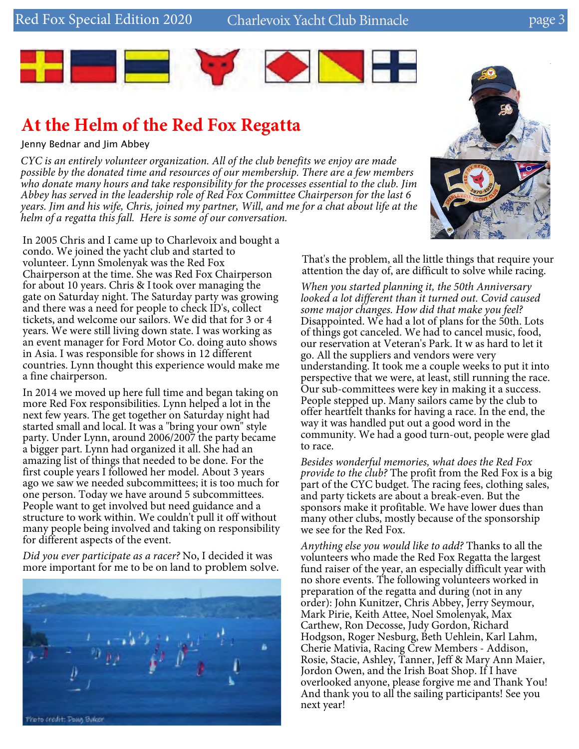Red Fox Special Edition 2020 Charlevoix Yacht Club Binnacle 30 page



## **At the Helm of the Red Fox Regatta**

Jenny Bednar and Jim Abbey

*CYC is an entirely volunteer organization. All of the club benefits we enjoy are made possible by the donated time and resources of our membership. There are a few members who donate many hours and take responsibility for the processes essential to the club. Jim Abbey has served in the leadership role of Red Fox Committee Chairperson for the last 6 years. Jim and his wife, Chris, joined my partner, Will, and me for a chat about life at the helm of a regatta this fall. Here is some of our conversation.* 

In 2005 Chris and I came up to Charlevoix and bought a condo. We joined the yacht club and started to volunteer. Lynn Smolenyak was the Red Fox Chairperson at the time. She was Red Fox Chairperson for about 10 years. Chris & I took over managing the gate on Saturday night. The Saturday party was growing and there was a need for people to check ID's, collect tickets, and welcome our sailors. We did that for 3 or 4 years. We were still living down state. I was working as an event manager for Ford Motor Co. doing auto shows in Asia. I was responsible for shows in 12 different countries. Lynn thought this experience would make me a fine chairperson.

In 2014 we moved up here full time and began taking on more Red Fox responsibilities. Lynn helped a lot in the next few years. The get together on Saturday night had started small and local. It was a "bring your own" style party. Under Lynn, around 2006/2007 the party became a bigger part. Lynn had organized it all. She had an amazing list of things that needed to be done. For the first couple years I followed her model. About 3 years ago we saw we needed subcommittees; it is too much for one person. Today we have around 5 subcommittees. People want to get involved but need guidance and a structure to work within. We couldn't pull it off without many people being involved and taking on responsibility for different aspects of the event.

*Did you ever participate as a racer?* No, I decided it was more important for me to be on land to problem solve.





That's the problem, all the little things that require your attention the day of, are difficult to solve while racing.

*When you started planning it, the 50th Anniversary looked a lot different than it turned out. Covid caused some major changes. How did that make you feel?*  Disappointed. We had a lot of plans for the 50th. Lots of things got canceled. We had to cancel music, food, our reservation at Veteran's Park. It w as hard to let it go. All the suppliers and vendors were very understanding. It took me a couple weeks to put it into perspective that we were, at least, still running the race. Our sub-committees were key in making it a success. People stepped up. Many sailors came by the club to offer heartfelt thanks for having a race. In the end, the way it was handled put out a good word in the community. We had a good turn-out, people were glad to race.

*Besides wonderful memories, what does the Red Fox provide to the club?* The profit from the Red Fox is a big part of the CYC budget. The racing fees, clothing sales, and party tickets are about a break-even. But the sponsors make it profitable. We have lower dues than many other clubs, mostly because of the sponsorship we see for the Red Fox.

*Anything else you would like to add?* Thanks to all the volunteers who made the Red Fox Regatta the largest fund raiser of the year, an especially difficult year with no shore events. The following volunteers worked in preparation of the regatta and during (not in any order): John Kunitzer, Chris Abbey, Jerry Seymour, Mark Pirie, Keith Attee, Noel Smolenyak, Max Carthew, Ron Decosse, Judy Gordon, Richard Hodgson, Roger Nesburg, Beth Uehlein, Karl Lahm, Cherie Mativia, Racing Crew Members - Addison, Rosie, Stacie, Ashley, Tanner, Jeff & Mary Ann Maier, Jordon Owen, and the Irish Boat Shop. If I have overlooked anyone, please forgive me and Thank You! And thank you to all the sailing participants! See you next year!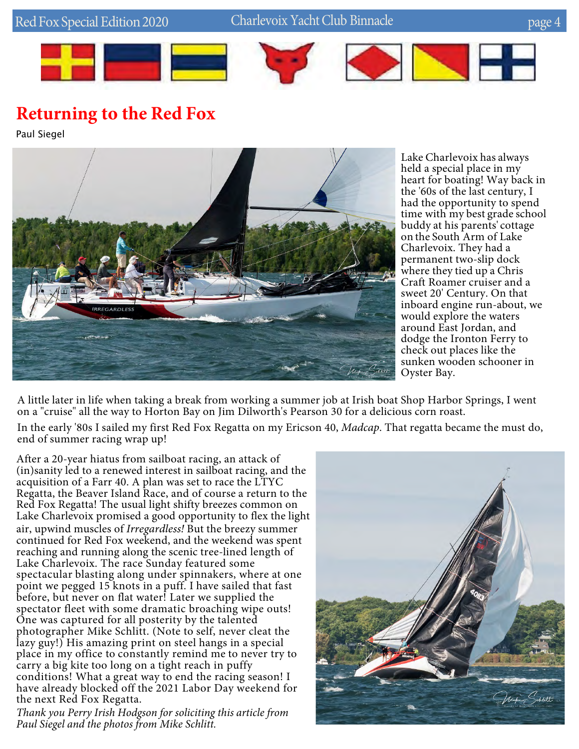

## **Returning to the Red Fox**

Paul Siegel



Lake Charlevoix has always held a special place in my heart for boating! Way back in the '60s of the last century, I had the opportunity to spend time with my best grade school buddy at his parents' cottage on the South Arm of Lake Charlevoix. They had a permanent two-slip dock where they tied up a Chris Craft Roamer cruiser and a sweet 20' Century. On that inboard engine run-about, we would explore the waters around East Jordan, and dodge the Ironton Ferry to check out places like the sunken wooden schooner in Oyster Bay.

A little later in life when taking a break from working a summer job at Irish boat Shop Harbor Springs, I went on a "cruise" all the way to Horton Bay on Jim Dilworth's Pearson 30 for a delicious corn roast.

In the early '80s I sailed my first Red Fox Regatta on my Ericson 40, *Madcap*. That regatta became the must do, end of summer racing wrap up!

After a 20-year hiatus from sailboat racing, an attack of (in)sanity led to a renewed interest in sailboat racing, and the acquisition of a Farr 40. A plan was set to race the LTYC Regatta, the Beaver Island Race, and of course a return to the Red Fox Regatta! The usual light shifty breezes common on Lake Charlevoix promised a good opportunity to flex the light air, upwind muscles of *Irregardless!* But the breezy summer continued for Red Fox weekend, and the weekend was spent reaching and running along the scenic tree-lined length of Lake Charlevoix. The race Sunday featured some spectacular blasting along under spinnakers, where at one point we pegged 15 knots in a puff. I have sailed that fast before, but never on flat water! Later we supplied the spectator fleet with some dramatic broaching wipe outs! One was captured for all posterity by the talented photographer Mike Schlitt. (Note to self, never cleat the lazy guy!) His amazing print on steel hangs in a special place in my office to constantly remind me to never try to carry a big kite too long on a tight reach in puffy conditions! What a great way to end the racing season! I have already blocked off the 2021 Labor Day weekend for the next Red Fox Regatta.

*Thank you Perry Irish Hodgson for soliciting this article from Paul Siegel and the photos from Mike Schlitt.*